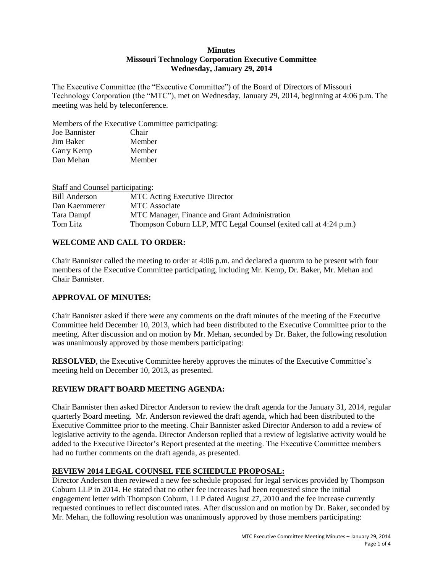#### **Minutes Missouri Technology Corporation Executive Committee Wednesday, January 29, 2014**

The Executive Committee (the "Executive Committee") of the Board of Directors of Missouri Technology Corporation (the "MTC"), met on Wednesday, January 29, 2014, beginning at 4:06 p.m. The meeting was held by teleconference.

Members of the Executive Committee participating:

| Joe Bannister | Chair  |
|---------------|--------|
| Jim Baker     | Member |
| Garry Kemp    | Member |
| Dan Mehan     | Member |

| Staff and Counsel participating: |                                                                   |
|----------------------------------|-------------------------------------------------------------------|
| Bill Anderson                    | <b>MTC</b> Acting Executive Director                              |
| Dan Kaemmerer                    | <b>MTC</b> Associate                                              |
| Tara Dampf                       | MTC Manager, Finance and Grant Administration                     |
| Tom Litz                         | Thompson Coburn LLP, MTC Legal Counsel (exited call at 4:24 p.m.) |

## **WELCOME AND CALL TO ORDER:**

Chair Bannister called the meeting to order at 4:06 p.m. and declared a quorum to be present with four members of the Executive Committee participating, including Mr. Kemp, Dr. Baker, Mr. Mehan and Chair Bannister.

## **APPROVAL OF MINUTES:**

Chair Bannister asked if there were any comments on the draft minutes of the meeting of the Executive Committee held December 10, 2013, which had been distributed to the Executive Committee prior to the meeting. After discussion and on motion by Mr. Mehan, seconded by Dr. Baker, the following resolution was unanimously approved by those members participating:

**RESOLVED**, the Executive Committee hereby approves the minutes of the Executive Committee's meeting held on December 10, 2013, as presented.

## **REVIEW DRAFT BOARD MEETING AGENDA:**

Chair Bannister then asked Director Anderson to review the draft agenda for the January 31, 2014, regular quarterly Board meeting. Mr. Anderson reviewed the draft agenda, which had been distributed to the Executive Committee prior to the meeting. Chair Bannister asked Director Anderson to add a review of legislative activity to the agenda. Director Anderson replied that a review of legislative activity would be added to the Executive Director's Report presented at the meeting. The Executive Committee members had no further comments on the draft agenda, as presented.

# **REVIEW 2014 LEGAL COUNSEL FEE SCHEDULE PROPOSAL:**

Director Anderson then reviewed a new fee schedule proposed for legal services provided by Thompson Coburn LLP in 2014. He stated that no other fee increases had been requested since the initial engagement letter with Thompson Coburn, LLP dated August 27, 2010 and the fee increase currently requested continues to reflect discounted rates. After discussion and on motion by Dr. Baker, seconded by Mr. Mehan, the following resolution was unanimously approved by those members participating: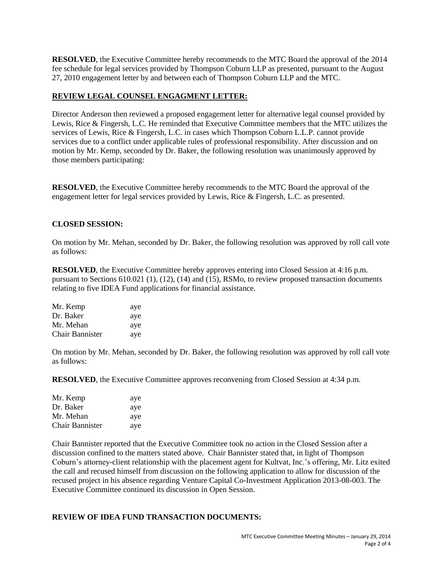**RESOLVED**, the Executive Committee hereby recommends to the MTC Board the approval of the 2014 fee schedule for legal services provided by Thompson Coburn LLP as presented, pursuant to the August 27, 2010 engagement letter by and between each of Thompson Coburn LLP and the MTC.

### **REVIEW LEGAL COUNSEL ENGAGMENT LETTER:**

Director Anderson then reviewed a proposed engagement letter for alternative legal counsel provided by Lewis, Rice & Fingersh, L.C. He reminded that Executive Committee members that the MTC utilizes the services of Lewis, Rice & Fingersh, L.C. in cases which Thompson Coburn L.L.P. cannot provide services due to a conflict under applicable rules of professional responsibility. After discussion and on motion by Mr. Kemp, seconded by Dr. Baker, the following resolution was unanimously approved by those members participating:

**RESOLVED**, the Executive Committee hereby recommends to the MTC Board the approval of the engagement letter for legal services provided by Lewis, Rice & Fingersh, L.C. as presented.

### **CLOSED SESSION:**

On motion by Mr. Mehan, seconded by Dr. Baker, the following resolution was approved by roll call vote as follows:

**RESOLVED**, the Executive Committee hereby approves entering into Closed Session at 4:16 p.m. pursuant to Sections 610.021 (1), (12), (14) and (15), RSMo, to review proposed transaction documents relating to five IDEA Fund applications for financial assistance.

| Mr. Kemp               | aye |
|------------------------|-----|
| Dr. Baker              | aye |
| Mr. Mehan              | aye |
| <b>Chair Bannister</b> | aye |

On motion by Mr. Mehan, seconded by Dr. Baker, the following resolution was approved by roll call vote as follows:

**RESOLVED**, the Executive Committee approves reconvening from Closed Session at 4:34 p.m.

| Mr. Kemp               | aye |
|------------------------|-----|
| Dr. Baker              | aye |
| Mr. Mehan              | aye |
| <b>Chair Bannister</b> | aye |

Chair Bannister reported that the Executive Committee took no action in the Closed Session after a discussion confined to the matters stated above. Chair Bannister stated that, in light of Thompson Coburn's attorney-client relationship with the placement agent for Kultvat, Inc.'s offering, Mr. Litz exited the call and recused himself from discussion on the following application to allow for discussion of the recused project in his absence regarding Venture Capital Co-Investment Application 2013-08-003. The Executive Committee continued its discussion in Open Session.

## **REVIEW OF IDEA FUND TRANSACTION DOCUMENTS:**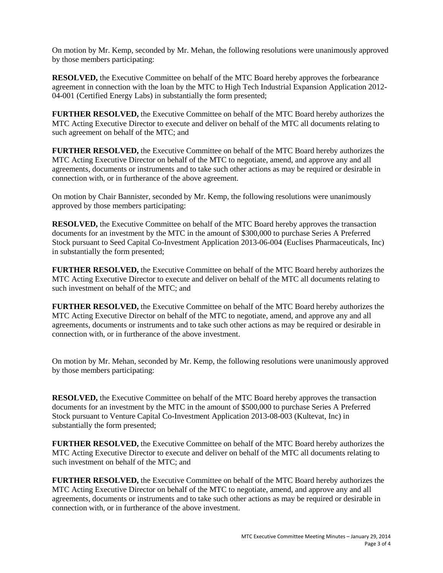On motion by Mr. Kemp, seconded by Mr. Mehan, the following resolutions were unanimously approved by those members participating:

**RESOLVED,** the Executive Committee on behalf of the MTC Board hereby approves the forbearance agreement in connection with the loan by the MTC to High Tech Industrial Expansion Application 2012- 04-001 (Certified Energy Labs) in substantially the form presented;

**FURTHER RESOLVED,** the Executive Committee on behalf of the MTC Board hereby authorizes the MTC Acting Executive Director to execute and deliver on behalf of the MTC all documents relating to such agreement on behalf of the MTC; and

**FURTHER RESOLVED,** the Executive Committee on behalf of the MTC Board hereby authorizes the MTC Acting Executive Director on behalf of the MTC to negotiate, amend, and approve any and all agreements, documents or instruments and to take such other actions as may be required or desirable in connection with, or in furtherance of the above agreement.

On motion by Chair Bannister, seconded by Mr. Kemp, the following resolutions were unanimously approved by those members participating:

**RESOLVED,** the Executive Committee on behalf of the MTC Board hereby approves the transaction documents for an investment by the MTC in the amount of \$300,000 to purchase Series A Preferred Stock pursuant to Seed Capital Co-Investment Application 2013-06-004 (Euclises Pharmaceuticals, Inc) in substantially the form presented;

**FURTHER RESOLVED,** the Executive Committee on behalf of the MTC Board hereby authorizes the MTC Acting Executive Director to execute and deliver on behalf of the MTC all documents relating to such investment on behalf of the MTC; and

**FURTHER RESOLVED,** the Executive Committee on behalf of the MTC Board hereby authorizes the MTC Acting Executive Director on behalf of the MTC to negotiate, amend, and approve any and all agreements, documents or instruments and to take such other actions as may be required or desirable in connection with, or in furtherance of the above investment.

On motion by Mr. Mehan, seconded by Mr. Kemp, the following resolutions were unanimously approved by those members participating:

**RESOLVED,** the Executive Committee on behalf of the MTC Board hereby approves the transaction documents for an investment by the MTC in the amount of \$500,000 to purchase Series A Preferred Stock pursuant to Venture Capital Co-Investment Application 2013-08-003 (Kultevat, Inc) in substantially the form presented;

**FURTHER RESOLVED,** the Executive Committee on behalf of the MTC Board hereby authorizes the MTC Acting Executive Director to execute and deliver on behalf of the MTC all documents relating to such investment on behalf of the MTC; and

**FURTHER RESOLVED,** the Executive Committee on behalf of the MTC Board hereby authorizes the MTC Acting Executive Director on behalf of the MTC to negotiate, amend, and approve any and all agreements, documents or instruments and to take such other actions as may be required or desirable in connection with, or in furtherance of the above investment.